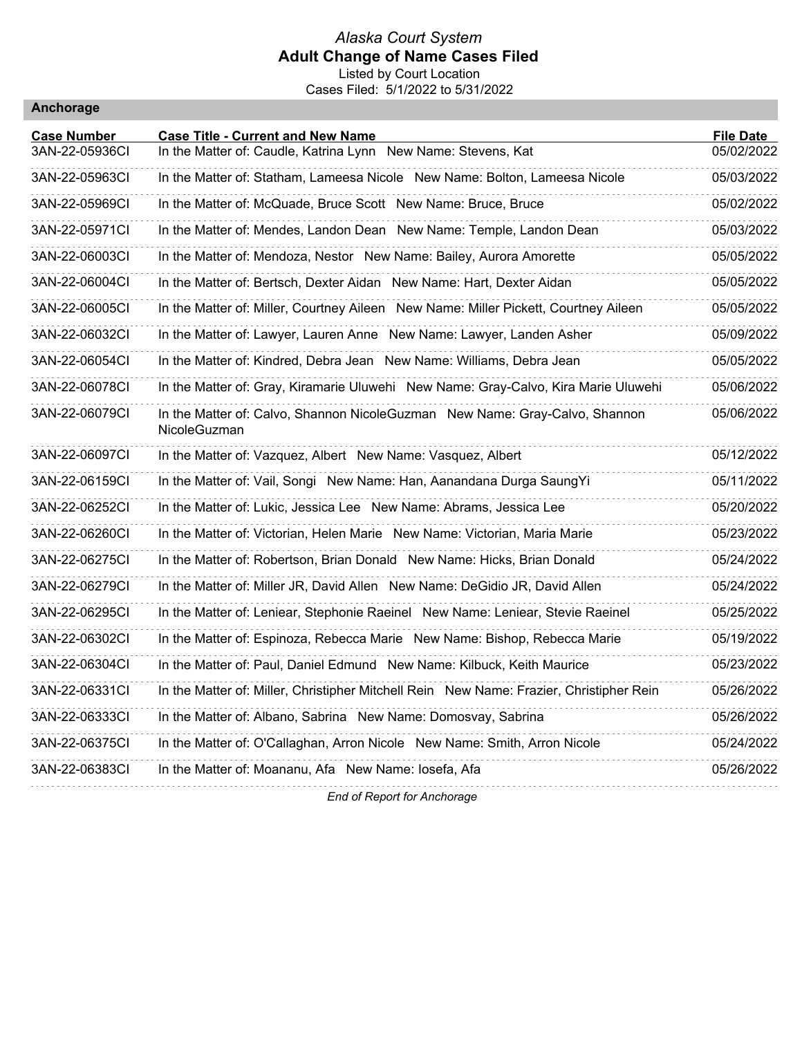#### *Alaska Court System* **Adult Change of Name Cases Filed** Listed by Court Location

Cases Filed: 5/1/2022 to 5/31/2022

| Anchorage |  |
|-----------|--|
|           |  |

| <b>Case Number</b> | <b>Case Title - Current and New Name</b>                                                    | <b>File Date</b> |
|--------------------|---------------------------------------------------------------------------------------------|------------------|
| 3AN-22-05936CI     | In the Matter of: Caudle, Katrina Lynn New Name: Stevens, Kat                               | 05/02/2022       |
| 3AN-22-05963CI     | In the Matter of: Statham, Lameesa Nicole New Name: Bolton, Lameesa Nicole                  | 05/03/2022       |
| 3AN-22-05969CI     | In the Matter of: McQuade, Bruce Scott New Name: Bruce, Bruce                               | 05/02/2022       |
| 3AN-22-05971CI     | In the Matter of: Mendes, Landon Dean New Name: Temple, Landon Dean                         | 05/03/2022       |
| 3AN-22-06003CI     | In the Matter of: Mendoza, Nestor New Name: Bailey, Aurora Amorette                         | 05/05/2022       |
| 3AN-22-06004Cl     | In the Matter of: Bertsch, Dexter Aidan New Name: Hart, Dexter Aidan                        | 05/05/2022       |
| 3AN-22-06005CI     | In the Matter of: Miller, Courtney Aileen New Name: Miller Pickett, Courtney Aileen         | 05/05/2022       |
| 3AN-22-06032CI     | In the Matter of: Lawyer, Lauren Anne New Name: Lawyer, Landen Asher                        | 05/09/2022       |
| 3AN-22-06054Cl     | In the Matter of: Kindred, Debra Jean New Name: Williams, Debra Jean                        | 05/05/2022       |
| 3AN-22-06078CI     | In the Matter of: Gray, Kiramarie Uluwehi New Name: Gray-Calvo, Kira Marie Uluwehi          | 05/06/2022       |
| 3AN-22-06079CI     | In the Matter of: Calvo, Shannon NicoleGuzman New Name: Gray-Calvo, Shannon<br>NicoleGuzman | 05/06/2022       |
| 3AN-22-06097CI     | In the Matter of: Vazquez, Albert New Name: Vasquez, Albert                                 | 05/12/2022       |
| 3AN-22-06159CI     | In the Matter of: Vail, Songi New Name: Han, Aanandana Durga Saung Yi                       | 05/11/2022       |
| 3AN-22-06252CI     | In the Matter of: Lukic, Jessica Lee New Name: Abrams, Jessica Lee                          | 05/20/2022       |
| 3AN-22-06260CI     | In the Matter of: Victorian, Helen Marie New Name: Victorian, Maria Marie                   | 05/23/2022       |
| 3AN-22-06275CI     | In the Matter of: Robertson, Brian Donald New Name: Hicks, Brian Donald                     | 05/24/2022       |
| 3AN-22-06279CI     | In the Matter of: Miller JR, David Allen New Name: DeGidio JR, David Allen                  | 05/24/2022       |
| 3AN-22-06295CI     | In the Matter of: Leniear, Stephonie Raeinel New Name: Leniear, Stevie Raeinel              | 05/25/2022       |
| 3AN-22-06302Cl     | In the Matter of: Espinoza, Rebecca Marie New Name: Bishop, Rebecca Marie                   | 05/19/2022       |
| 3AN-22-06304Cl     | In the Matter of: Paul, Daniel Edmund New Name: Kilbuck, Keith Maurice                      | 05/23/2022       |
| 3AN-22-06331Cl     | In the Matter of: Miller, Christipher Mitchell Rein New Name: Frazier, Christipher Rein     | 05/26/2022       |
| 3AN-22-06333CI     | In the Matter of: Albano, Sabrina New Name: Domosvay, Sabrina                               | 05/26/2022       |
| 3AN-22-06375CI     | In the Matter of: O'Callaghan, Arron Nicole New Name: Smith, Arron Nicole                   | 05/24/2022       |
| 3AN-22-06383CI     | In the Matter of: Moananu, Afa New Name: losefa, Afa                                        | 05/26/2022       |
|                    | <b>End of Report for Anchorage</b>                                                          |                  |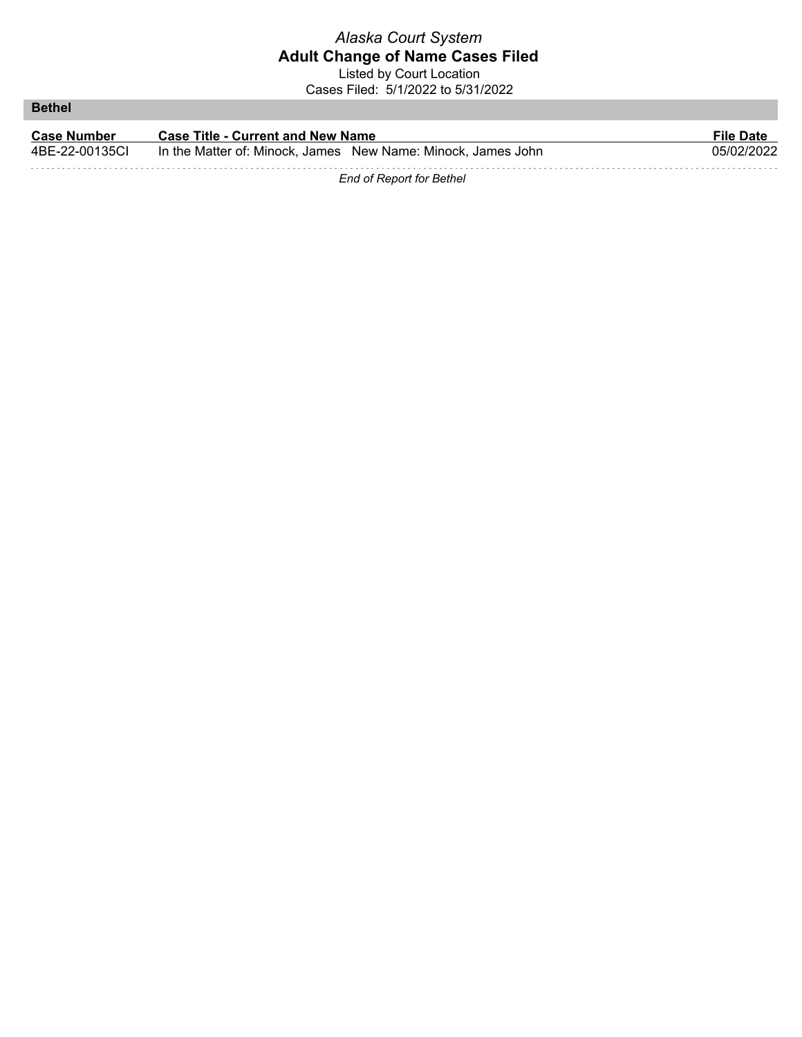Listed by Court Location Cases Filed: 5/1/2022 to 5/31/2022

**Bethel**

| <b>Case Number</b> | <b>Case Title - Current and New Name</b>                     | <b>File Date</b> |
|--------------------|--------------------------------------------------------------|------------------|
| 4BE-22-00135CI     | In the Matter of: Minock, James New Name: Minock, James John | 05/02/2022       |
|                    |                                                              |                  |

*End of Report for Bethel*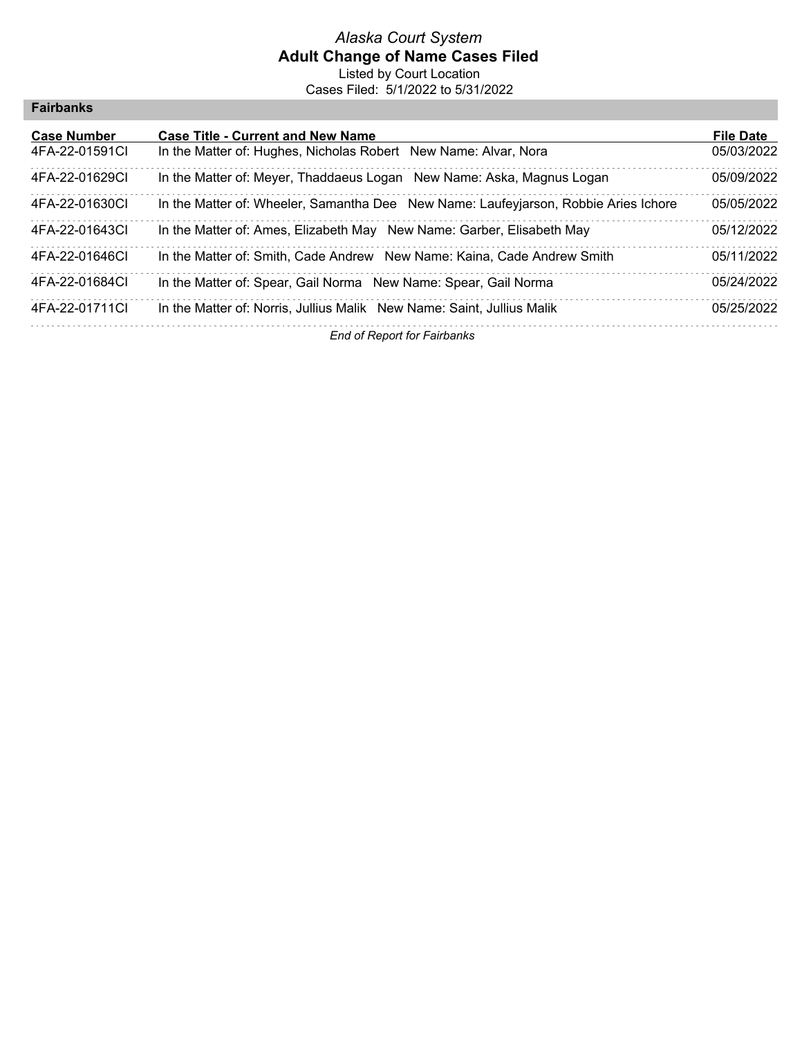### *Alaska Court System* **Adult Change of Name Cases Filed** Listed by Court Location

Cases Filed: 5/1/2022 to 5/31/2022

### **Fairbanks**

| <b>Case Number</b> | <b>Case Title - Current and New Name</b>                                            | <b>File Date</b> |
|--------------------|-------------------------------------------------------------------------------------|------------------|
| 4FA-22-01591CI     | In the Matter of: Hughes, Nicholas Robert New Name: Alvar, Nora                     | 05/03/2022       |
| 4FA-22-01629CI     | In the Matter of: Meyer, Thaddaeus Logan New Name: Aska, Magnus Logan               | 05/09/2022       |
| 4FA-22-01630CI     | In the Matter of: Wheeler, Samantha Dee New Name: Laufeyjarson, Robbie Aries Ichore | 05/05/2022       |
| 4FA-22-01643CI     | In the Matter of: Ames, Elizabeth May New Name: Garber, Elisabeth May               | 05/12/2022       |
| 4FA-22-01646CI     | In the Matter of: Smith, Cade Andrew New Name: Kaina, Cade Andrew Smith             | 05/11/2022       |
| 4FA-22-01684Cl     | In the Matter of: Spear, Gail Norma New Name: Spear, Gail Norma                     | 05/24/2022       |
| 4FA-22-01711CI     | In the Matter of: Norris, Jullius Malik New Name: Saint, Jullius Malik              | 05/25/2022       |
|                    | Es de Conseil fon Estabetat de                                                      |                  |

*End of Report for Fairbanks*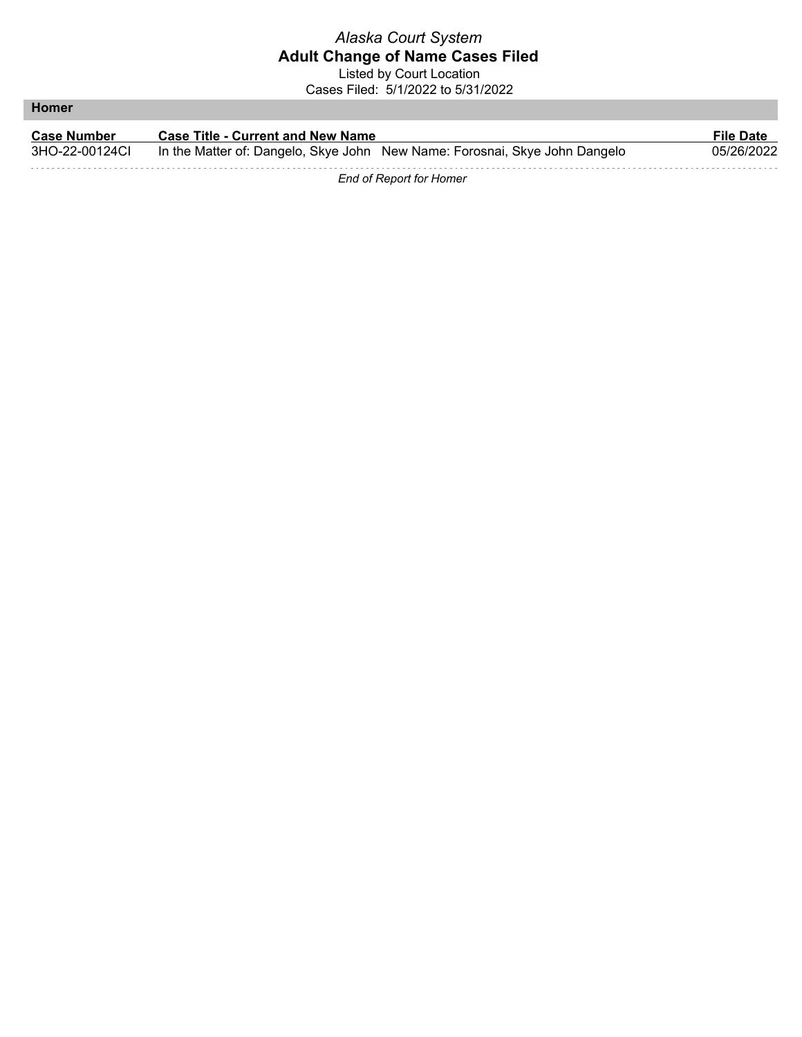Listed by Court Location Cases Filed: 5/1/2022 to 5/31/2022

**Homer**

| <b>Case Number</b> | <b>Case Title - Current and New Name</b>                                   | <b>File Date</b> |
|--------------------|----------------------------------------------------------------------------|------------------|
| 3HO-22-00124Cl     | In the Matter of: Dangelo, Skye John New Name: Forosnai, Skye John Dangelo | 05/26/2022       |
|                    |                                                                            |                  |

*End of Report for Homer*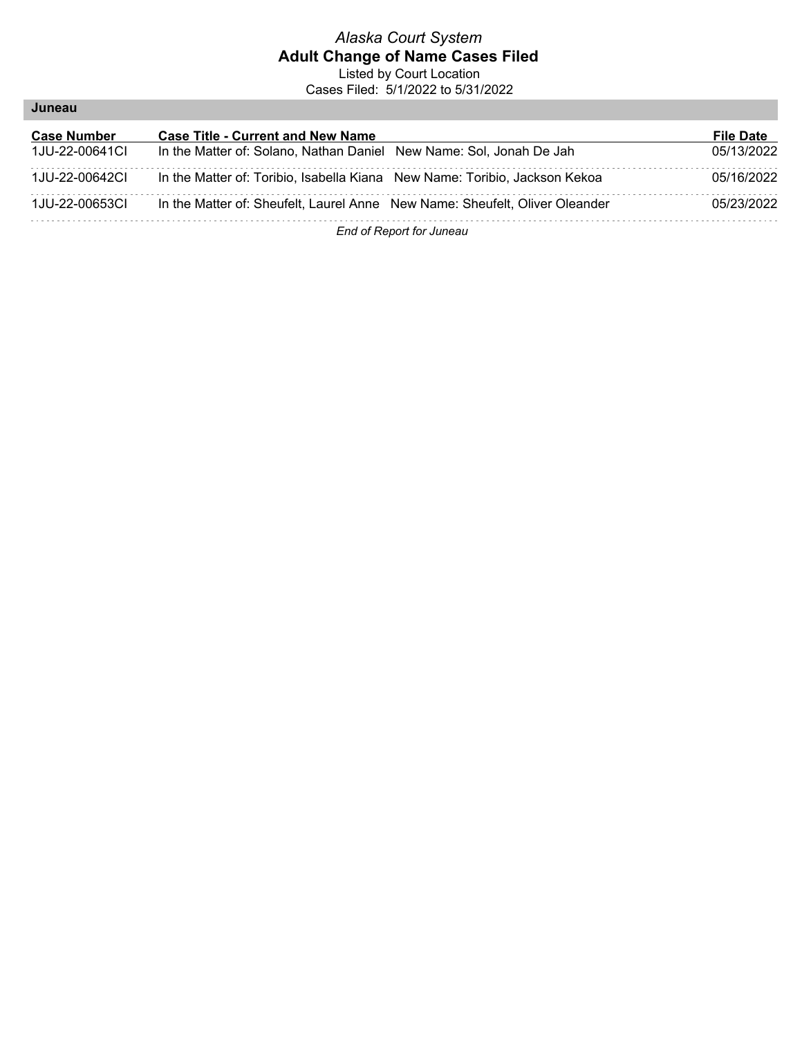Listed by Court Location Cases Filed: 5/1/2022 to 5/31/2022

| Juneau |
|--------|
|--------|

| <b>Case Number</b> | <b>Case Title - Current and New Name</b>                                    | <b>File Date</b> |
|--------------------|-----------------------------------------------------------------------------|------------------|
| 1JU-22-00641CL     | In the Matter of: Solano, Nathan Daniel New Name: Sol, Jonah De Jah         | 05/13/2022       |
| 1JU-22-00642CI     | In the Matter of: Toribio, Isabella Kiana New Name: Toribio, Jackson Kekoa  | 05/16/2022       |
| 1JU-22-00653CI     | In the Matter of: Sheufelt, Laurel Anne New Name: Sheufelt, Oliver Oleander | 05/23/2022       |
|                    | End of Denort for lungeu                                                    |                  |

*End of Report for Juneau*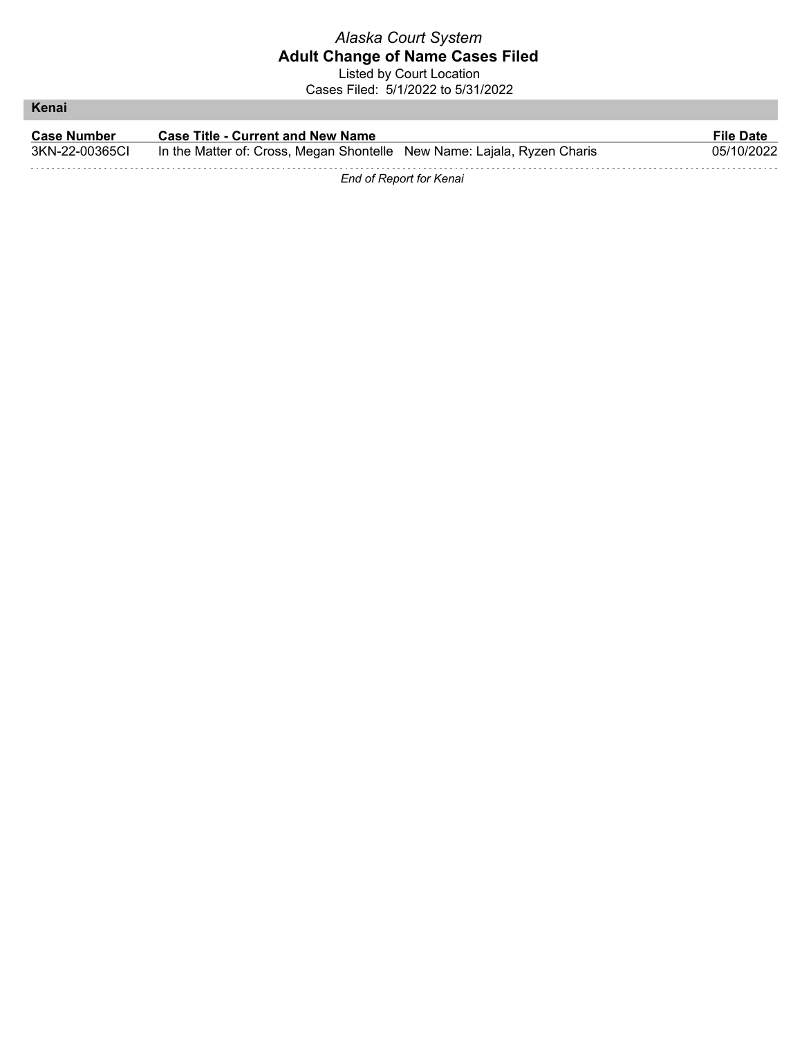Listed by Court Location Cases Filed: 5/1/2022 to 5/31/2022

**Kenai**

| <b>Case Number</b> | <b>Case Title - Current and New Name</b>                                | <b>File Date</b> |
|--------------------|-------------------------------------------------------------------------|------------------|
| 3KN-22-00365CI     | In the Matter of: Cross, Megan Shontelle New Name: Lajala, Ryzen Charis | 05/10/2022       |
|                    |                                                                         |                  |

*End of Report for Kenai*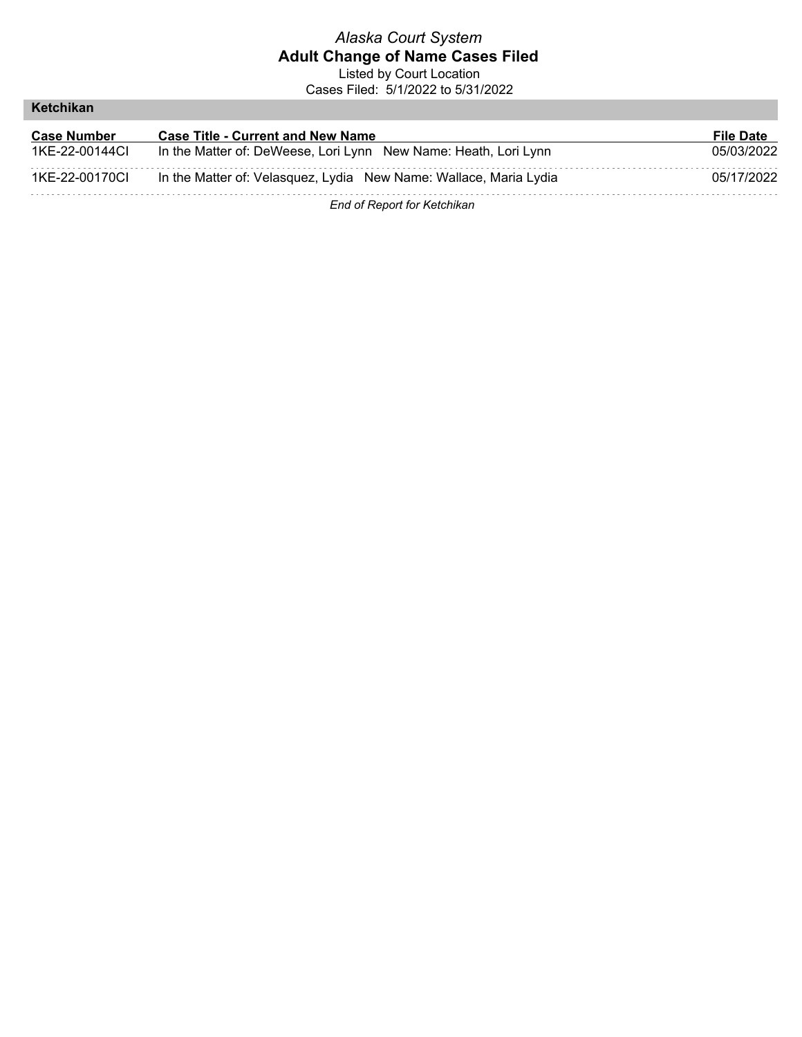Listed by Court Location Cases Filed: 5/1/2022 to 5/31/2022

#### **Ketchikan**

| <b>Case Number</b> | <b>Case Title - Current and New Name</b>                          | <b>File Date</b> |
|--------------------|-------------------------------------------------------------------|------------------|
| 1KE-22-00144Cl     | In the Matter of: DeWeese, Lori Lynn New Name: Heath, Lori Lynn   | 05/03/2022       |
| 1KE-22-00170Cl     | In the Matter of: Velasquez, Lydia New Name: Wallace, Maria Lydia | 05/17/2022       |
|                    | End of Report for Ketchikan                                       |                  |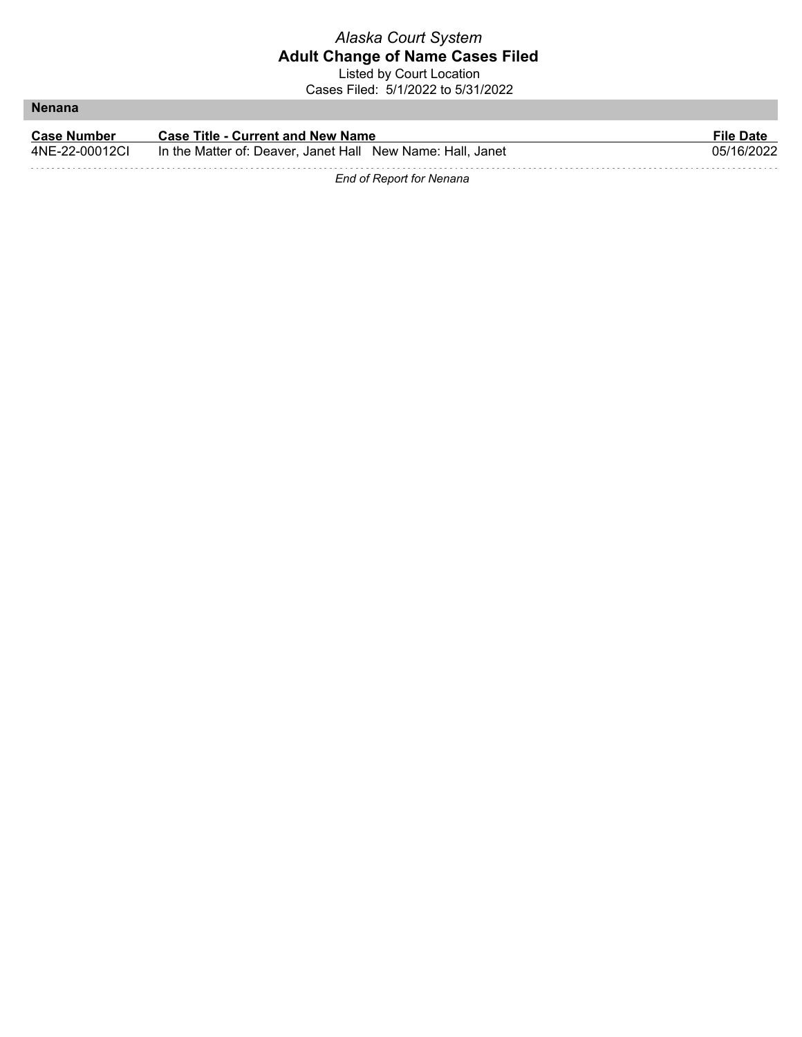### *Alaska Court System* **Adult Change of Name Cases Filed** Listed by Court Location

Cases Filed: 5/1/2022 to 5/31/2022

**Nenana**

| <b>Case Number</b> | <b>Case Title - Current and New Name</b>                   | <b>File Date</b> |
|--------------------|------------------------------------------------------------|------------------|
| 4NE-22-00012CL     | In the Matter of: Deaver, Janet Hall New Name: Hall, Janet | 05/16/2022       |
|                    |                                                            |                  |

*End of Report for Nenana*